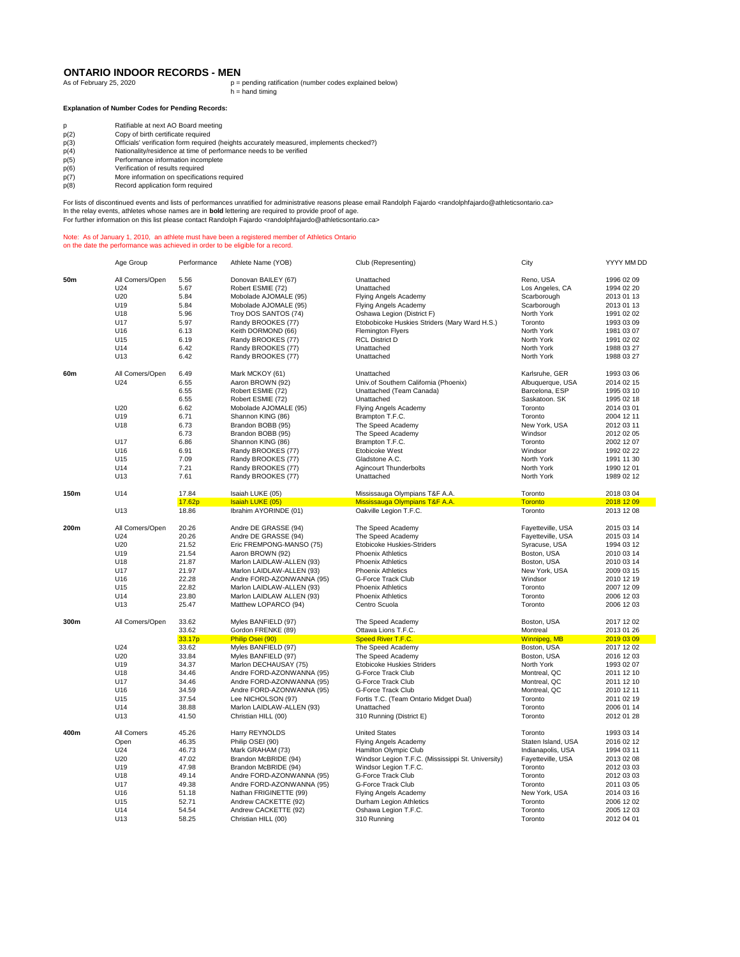## **ONTARIO INDOOR RECORDS - MEN**<br>As of February 25, 2020

As of February 25, 2020 p = pending ratification (number codes explained below) h = hand timing

## **Explanation of Number Codes for Pending Records:**

- p(2) Copy of birth certificate required
- p Ratifiable at next AO Board meeting<br>
p(2) Copy of birth certificate required<br>
p(3) Officials' verification form required (h p(3) Officials' verification form required (heights accurately measured, implements checked?)<br>
p(4) Nationality/residence at time of performance needs to be verified<br>
p(5) Performance information incomplete
- p(4) Nationality/residence at time of performance needs to be verified p(5) Performance information incomplete
- 
- p(6) Verification of results required<br>p(7) More information on specification<br>p(8) Record application form require
- More information on specifications required
- Record application form required

For lists of discontinued events and lists of performances unratified for administrative reasons please email Randolph Fajardo <randolphfajardo@athleticsontario.ca> In the relay events, athletes whose names are in **bold** lettering are required to provide proof of age.

For further information on this list please contact Randolph Fajardo <randolphfajardo@athleticsontario.ca>

## Note: As of January 1, 2010, an athlete must have been a registered member of Athletics Ontario on the date the performance was achieved in order to be eligible for a record.

|      | Age Group       | Performance | Athlete Name (YOB)        | Club (Representing)                                | City                | YYYY MM DD |
|------|-----------------|-------------|---------------------------|----------------------------------------------------|---------------------|------------|
| 50m  | All Comers/Open | 5.56        | Donovan BAILEY (67)       | Unattached                                         | Reno, USA           | 1996 02 09 |
|      | U24             | 5.67        | Robert ESMIE (72)         | Unattached                                         | Los Angeles, CA     | 1994 02 20 |
|      | U20             | 5.84        | Mobolade AJOMALE (95)     | Flying Angels Academy                              | Scarborough         | 2013 01 13 |
|      |                 |             |                           |                                                    |                     |            |
|      | U19             | 5.84        | Mobolade AJOMALE (95)     | Flying Angels Academy                              | Scarborough         | 2013 01 13 |
|      | U18             | 5.96        | Troy DOS SANTOS (74)      | Oshawa Legion (District F)                         | North York          | 1991 02 02 |
|      | U17             | 5.97        | Randy BROOKES (77)        | Etobobicoke Huskies Striders (Mary Ward H.S.)      | Toronto             | 1993 03 09 |
|      | U16             | 6.13        | Keith DORMOND (66)        | <b>Flemington Flyers</b>                           | North York          | 1981 03 07 |
|      | U15             | 6.19        | Randy BROOKES (77)        | <b>RCL District D</b>                              | North York          | 1991 02 02 |
|      | U14             | 6.42        | Randy BROOKES (77)        | Unattached                                         | North York          | 1988 03 27 |
|      | U13             | 6.42        | Randy BROOKES (77)        | Unattached                                         | North York          | 1988 03 27 |
| 60m  | All Comers/Open | 6.49        | Mark MCKOY (61)           | Unattached                                         | Karlsruhe, GER      | 1993 03 06 |
|      | U24             | 6.55        | Aaron BROWN (92)          | Univ.of Southern California (Phoenix)              | Albuquerque, USA    | 2014 02 15 |
|      |                 | 6.55        | Robert ESMIE (72)         | Unattached (Team Canada)                           | Barcelona, ESP      | 1995 03 10 |
|      |                 | 6.55        | Robert ESMIE (72)         | Unattached                                         | Saskatoon. SK       | 1995 02 18 |
|      | U20             | 6.62        | Mobolade AJOMALE (95)     | Flying Angels Academy                              | Toronto             | 2014 03 01 |
|      | U19             | 6.71        | Shannon KING (86)         | Brampton T.F.C.                                    | Toronto             | 2004 12 11 |
|      | U18             | 6.73        | Brandon BOBB (95)         | The Speed Academy                                  | New York, USA       | 2012 03 11 |
|      |                 |             |                           |                                                    |                     |            |
|      |                 | 6.73        | Brandon BOBB (95)         | The Speed Academy                                  | Windsor             | 2012 02 05 |
|      | U17             | 6.86        | Shannon KING (86)         | Brampton T.F.C.                                    | Toronto             | 2002 12 07 |
|      | U16             | 6.91        | Randy BROOKES (77)        | Etobicoke West                                     | Windsor             | 1992 02 22 |
|      | U15             | 7.09        | Randy BROOKES (77)        | Gladstone A.C.                                     | North York          | 1991 11 30 |
|      | U14             | 7.21        | Randy BROOKES (77)        | <b>Agincourt Thunderbolts</b>                      | North York          | 1990 12 01 |
|      | U13             | 7.61        | Randy BROOKES (77)        | Unattached                                         | North York          | 1989 02 12 |
| 150m | U14             | 17.84       | Isaiah LUKE (05)          | Mississauga Olympians T&F A.A.                     | Toronto             | 2018 03 04 |
|      |                 | 17.62p      | Isaiah LUKE (05)          | Mississauga Olympians T&F A.A.                     | <b>Toronto</b>      | 2018 12 09 |
|      | U13             | 18.86       | Ibrahim AYORINDE (01)     | Oakville Legion T.F.C.                             | Toronto             | 2013 12 08 |
| 200m | All Comers/Open | 20.26       | Andre DE GRASSE (94)      | The Speed Academy                                  | Fayetteville, USA   | 2015 03 14 |
|      | U24             | 20.26       | Andre DE GRASSE (94)      | The Speed Academy                                  | Fayetteville, USA   | 2015 03 14 |
|      | U20             | 21.52       | Eric FREMPONG-MANSO (75)  | Etobicoke Huskies-Striders                         | Syracuse, USA       | 1994 03 12 |
|      |                 |             |                           |                                                    |                     |            |
|      | U19             | 21.54       | Aaron BROWN (92)          | <b>Phoenix Athletics</b>                           | Boston, USA         | 2010 03 14 |
|      | U18             | 21.87       | Marlon LAIDLAW-ALLEN (93) | <b>Phoenix Athletics</b>                           | Boston, USA         | 2010 03 14 |
|      | U17             | 21.97       | Marlon LAIDLAW-ALLEN (93) | <b>Phoenix Athletics</b>                           | New York, USA       | 2009 03 15 |
|      | U16             | 22.28       | Andre FORD-AZONWANNA (95) | G-Force Track Club                                 | Windsor             | 2010 12 19 |
|      | U15             | 22.82       | Marlon LAIDLAW-ALLEN (93) | <b>Phoenix Athletics</b>                           | Toronto             | 2007 12 09 |
|      | U14             | 23.80       | Marlon LAIDLAW ALLEN (93) | <b>Phoenix Athletics</b>                           | Toronto             | 2006 12 03 |
|      | U13             | 25.47       | Matthew LOPARCO (94)      | Centro Scuola                                      | Toronto             | 2006 12 03 |
| 300m | All Comers/Open | 33.62       | Myles BANFIELD (97)       | The Speed Academy                                  | Boston, USA         | 2017 12 02 |
|      |                 | 33.62       | Gordon FRENKE (89)        | Ottawa Lions T.F.C.                                | Montreal            | 2013 01 26 |
|      |                 | 33.17p      | Philip Osei (90)          | Speed River T.F.C.                                 | <b>Winnipeg, MB</b> | 2019 03 09 |
|      | U24             | 33.62       | Myles BANFIELD (97)       | The Speed Academy                                  | Boston, USA         | 2017 12 02 |
|      | U20             | 33.84       | Myles BANFIELD (97)       | The Speed Academy                                  | Boston, USA         | 2016 12 03 |
|      | U19             | 34.37       | Marlon DECHAUSAY (75)     | <b>Etobicoke Huskies Striders</b>                  | North York          | 1993 02 07 |
|      | U18             | 34.46       | Andre FORD-AZONWANNA (95) | G-Force Track Club                                 | Montreal, QC        | 2011 12 10 |
|      | U17             | 34.46       | Andre FORD-AZONWANNA (95) | G-Force Track Club                                 | Montreal, QC        | 2011 12 10 |
|      | U16             | 34.59       | Andre FORD-AZONWANNA (95) | G-Force Track Club                                 | Montreal, QC        | 2010 12 11 |
|      | U15             | 37.54       |                           |                                                    | Toronto             | 2011 02 19 |
|      |                 |             | Lee NICHOLSON (97)        | Fortis T.C. (Team Ontario Midget Dual)             |                     |            |
|      | U14             | 38.88       | Marlon LAIDLAW-ALLEN (93) | Unattached                                         | Toronto             | 2006 01 14 |
|      | U13             | 41.50       | Christian HILL (00)       | 310 Running (District E)                           | Toronto             | 2012 01 28 |
| 400m | All Comers      | 45.26       | Harry REYNOLDS            | <b>United States</b>                               | Toronto             | 1993 03 14 |
|      | Open            | 46.35       | Philip OSEI (90)          | Flying Angels Academy                              | Staten Island, USA  | 2016 02 12 |
|      | U24             | 46.73       | Mark GRAHAM (73)          | Hamilton Olympic Club                              | Indianapolis, USA   | 1994 03 11 |
|      | U20             | 47.02       | Brandon McBRIDE (94)      | Windsor Legion T.F.C. (Mississippi St. University) | Fayetteville, USA   | 2013 02 08 |
|      | U19             | 47.98       | Brandon McBRIDE (94)      | Windsor Legion T.F.C.                              | Toronto             | 2012 03 03 |
|      | U18             | 49.14       | Andre FORD-AZONWANNA (95) | G-Force Track Club                                 | Toronto             | 2012 03 03 |
|      | U17             | 49.38       | Andre FORD-AZONWANNA (95) | G-Force Track Club                                 | Toronto             | 2011 03 05 |
|      | U16             | 51.18       | Nathan FRIGINETTE (99)    | <b>Flying Angels Academy</b>                       | New York, USA       | 2014 03 16 |
|      | U15             | 52.71       | Andrew CACKETTE (92)      | Durham Legion Athletics                            | Toronto             | 2006 12 02 |
|      |                 |             |                           |                                                    |                     |            |
|      | U14             | 54.54       | Andrew CACKETTE (92)      | Oshawa Legion T.F.C.                               | Toronto             | 2005 12 03 |
|      | U13             | 58.25       | Christian HILL (00)       | 310 Running                                        | Toronto             | 2012 04 01 |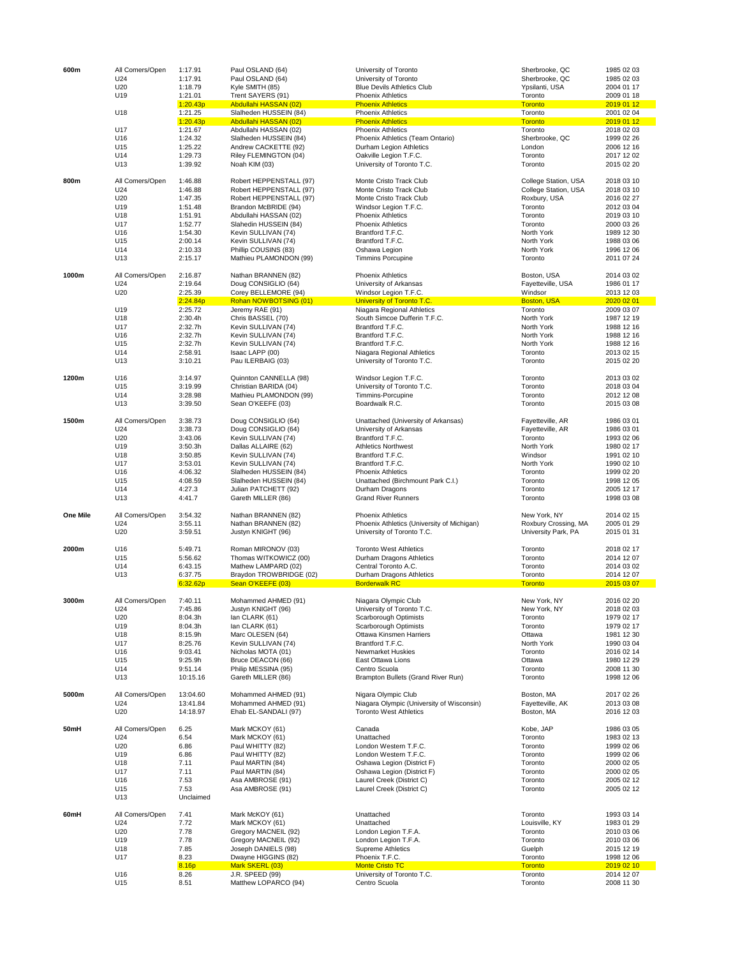|          | U18<br>U17<br>U16      | 7.85<br>8.23<br>8.16p<br>8.26 | Dwayne HIGGINS (82)<br>Mark SKERL (03)<br>J.R. SPEED (99) | Phoenix T.F.C.<br><b>Monte Cristo TC</b><br>University of Toronto T.C.     | Toronto<br><b>Toronto</b><br>Toronto | 2015 12 19<br>1998 12 06<br>2019 02 10<br>2014 12 07 |
|----------|------------------------|-------------------------------|-----------------------------------------------------------|----------------------------------------------------------------------------|--------------------------------------|------------------------------------------------------|
|          |                        |                               |                                                           |                                                                            |                                      |                                                      |
|          |                        |                               |                                                           |                                                                            |                                      |                                                      |
|          |                        |                               | Joseph DANIELS (98)                                       | <b>Supreme Athletics</b>                                                   | Guelph                               |                                                      |
|          | U19                    | 7.78                          | Gregory MACNEIL (92)                                      | London Legion T.F.A.                                                       | Toronto                              | 2010 03 06                                           |
|          | U20                    | 7.78                          | Gregory MACNEIL (92)                                      | London Legion T.F.A.                                                       | Toronto                              | 2010 03 06                                           |
| 60mH     | All Comers/Open<br>U24 | 7.41<br>7.72                  | Mark McKOY (61)<br>Mark MCKOY (61)                        | Unattached<br>Unattached                                                   | Toronto<br>Louisville, KY            | 1993 03 14<br>1983 01 29                             |
|          |                        |                               |                                                           |                                                                            |                                      |                                                      |
|          | U13                    | Unclaimed                     |                                                           |                                                                            |                                      |                                                      |
|          | U15                    | 7.53                          | Asa AMBROSE (91)                                          | Laurel Creek (District C)                                                  | Toronto                              | 2005 02 12                                           |
|          | U16                    | 7.53                          | Asa AMBROSE (91)                                          | Laurel Creek (District C)                                                  | Toronto                              | 2005 02 12                                           |
|          | U18<br>U17             | 7.11<br>7.11                  | Paul MARTIN (84)<br>Paul MARTIN (84)                      | Oshawa Legion (District F)<br>Oshawa Legion (District F)                   | Toronto<br>Toronto                   | 2000 02 05<br>2000 02 05                             |
|          | U19                    | 6.86                          | Paul WHITTY (82)                                          | London Western T.F.C.                                                      | Toronto                              | 1999 02 06                                           |
|          | U20                    | 6.86                          | Paul WHITTY (82)                                          | London Western T.F.C.                                                      | Toronto                              | 1999 02 06                                           |
|          | U24                    | 6.54                          | Mark MCKOY (61)                                           | Unattached                                                                 | Toronto                              | 1983 02 13                                           |
| 50mH     | All Comers/Open        | 6.25                          | Mark MCKOY (61)                                           | Canada                                                                     | Kobe, JAP                            | 1986 03 05                                           |
|          |                        |                               |                                                           |                                                                            |                                      |                                                      |
|          | U24<br>U20             | 13:41.84<br>14:18.97          | Mohammed AHMED (91)<br>Ehab EL-SANDALI (97)               | Niagara Olympic (University of Wisconsin)<br><b>Toronto West Athletics</b> | Fayetteville, AK<br>Boston, MA       | 2013 03 08<br>2016 12 03                             |
| 5000m    | All Comers/Open        | 13:04.60                      | Mohammed AHMED (91)                                       | Nigara Olympic Club                                                        | Boston, MA                           | 2017 02 26                                           |
|          |                        |                               |                                                           |                                                                            |                                      |                                                      |
|          | U13                    | 10:15.16                      | Gareth MILLER (86)                                        | Brampton Bullets (Grand River Run)                                         | Toronto                              | 1998 12 06                                           |
|          | U14                    | 9:51.14                       | Philip MESSINA (95)                                       | Centro Scuola                                                              | Toronto                              | 2008 11 30                                           |
|          | U15                    | 9:25.9h                       | Bruce DEACON (66)                                         | East Ottawa Lions                                                          | Ottawa                               | 1980 12 29                                           |
|          | U16                    | 9:03.41                       | Nicholas MOTA (01)                                        | Newmarket Huskies                                                          | Toronto                              | 2016 02 14                                           |
|          | U17                    | 8:25.76                       | Kevin SULLIVAN (74)                                       | Brantford T.F.C.                                                           | North York                           | 1990 03 04                                           |
|          | U18                    | 8:15.9h                       | Marc OLESEN (64)                                          | Ottawa Kinsmen Harriers                                                    | Ottawa                               | 1981 12 30                                           |
|          | U19                    | 8:04.3h                       | lan CLARK (61)                                            | Scarborough Optimists                                                      | Toronto                              | 1979 02 17                                           |
|          | U20                    | 8:04.3h                       | lan CLARK (61)                                            | Scarborough Optimists                                                      | Toronto                              | 1979 02 17                                           |
|          | U24                    | 7:45.86                       | Justyn KNIGHT (96)                                        | University of Toronto T.C.                                                 | New York, NY                         | 2018 02 03                                           |
| 3000m    | All Comers/Open        | 7:40.11                       | Mohammed AHMED (91)                                       | Niagara Olympic Club                                                       | New York, NY                         | 2016 02 20                                           |
|          |                        | 6:32.62p                      | Sean O'KEEFE (03)                                         | <b>Borderwalk RC</b>                                                       | <b>Toronto</b>                       | 2015 03 07                                           |
|          | U13                    | 6:37.75                       | Braydon TROWBRIDGE (02)                                   | Durham Dragons Athletics                                                   | Toronto                              | 2014 12 07                                           |
|          | U14                    | 6:43.15                       | Mathew LAMPARD (02)                                       | Central Toronto A.C.                                                       | Toronto                              | 2014 03 02                                           |
|          | U15                    | 5:56.62                       | Thomas WITKOWICZ (00)                                     | Durham Dragons Athletics                                                   | Toronto                              | 2014 12 07                                           |
| 2000m    | U16                    | 5:49.71                       | Roman MIRONOV (03)                                        | <b>Toronto West Athletics</b>                                              | Toronto                              | 2018 02 17                                           |
|          |                        |                               |                                                           |                                                                            |                                      |                                                      |
|          | U20                    | 3:59.51                       | Justyn KNIGHT (96)                                        | University of Toronto T.C.                                                 | University Park, PA                  | 2015 01 31                                           |
|          | U24                    | 3:55.11                       | Nathan BRANNEN (82)                                       | Phoenix Athletics (University of Michigan)                                 | Roxbury Crossing, MA                 | 2005 01 29                                           |
| One Mile | All Comers/Open        | 3:54.32                       | Nathan BRANNEN (82)                                       | <b>Phoenix Athletics</b>                                                   | New York, NY                         | 2014 02 15                                           |
|          |                        |                               |                                                           |                                                                            |                                      |                                                      |
|          | U13                    | 4:41.7                        | Gareth MILLER (86)                                        | <b>Grand River Runners</b>                                                 | Toronto                              | 1998 03 08                                           |
|          | U14                    | 4:27.3                        | Julian PATCHETT (92)                                      | Durham Dragons                                                             | Toronto                              | 2005 12 17                                           |
|          | U15                    | 4:08.59                       | Slalheden HUSSEIN (84)                                    | Unattached (Birchmount Park C.I.)                                          | Toronto                              | 1998 12 05                                           |
|          | U17<br>U16             | 3:53.01<br>4:06.32            | Kevin SULLIVAN (74)<br>Slalheden HUSSEIN (84)             | Brantford T.F.C.<br><b>Phoenix Athletics</b>                               | North York<br>Toronto                | 1990 02 10<br>1999 02 20                             |
|          | U18                    | 3:50.85                       | Kevin SULLIVAN (74)                                       | Brantford T.F.C.                                                           | Windsor                              | 1991 02 10                                           |
|          |                        |                               |                                                           |                                                                            |                                      |                                                      |
|          | U19                    | 3:43.06<br>3:50.3h            | Kevin SULLIVAN (74)<br>Dallas ALLAIRE (62)                | <b>Athletics Northwest</b>                                                 | Toronto<br>North York                | 1993 02 06<br>1980 02 17                             |
|          | U24<br>U20             | 3:38.73                       | Doug CONSIGLIO (64)                                       | University of Arkansas<br>Brantford T.F.C.                                 | Fayetteville, AR                     | 1986 03 01                                           |
| 1500m    | All Comers/Open        | 3:38.73                       | Doug CONSIGLIO (64)                                       | Unattached (University of Arkansas)                                        | Fayetteville, AR                     | 1986 03 01                                           |
|          |                        |                               |                                                           |                                                                            |                                      |                                                      |
|          | U13                    | 3:39.50                       | Sean O'KEEFE (03)                                         | Boardwalk R.C.                                                             | Toronto                              | 2015 03 08                                           |
|          | U14                    | 3:28.98                       | Mathieu PLAMONDON (99)                                    | Timmins-Porcupine                                                          | Toronto                              | 2012 12 08                                           |
|          | U15                    | 3:19.99                       | Christian BARIDA (04)                                     | University of Toronto T.C.                                                 | Toronto                              | 2018 03 04                                           |
| 1200m    | U16                    | 3:14.97                       | Quinnton CANNELLA (98)                                    | Windsor Legion T.F.C.                                                      | Toronto                              | 2013 03 02                                           |
|          |                        |                               |                                                           |                                                                            |                                      |                                                      |
|          | U13                    | 3:10.21                       | Pau ILERBAIG (03)                                         | University of Toronto T.C.                                                 | Toronto                              | 2015 02 20                                           |
|          | U14                    | 2:58.91                       | Isaac LAPP (00)                                           | Niagara Regional Athletics                                                 | Toronto                              | 2013 02 15                                           |
|          | U15                    | 2:32.7h                       | Kevin SULLIVAN (74)                                       | Brantford T.F.C.                                                           | North York                           | 1988 12 16                                           |
|          | U16                    | 2:32.7h                       | Kevin SULLIVAN (74)                                       | Brantford T.F.C.                                                           | North York                           | 1988 12 16                                           |
|          | U17                    | 2:32.7h                       | Kevin SULLIVAN (74)                                       | Brantford T.F.C.                                                           | North York                           | 1988 12 16                                           |
|          | U18                    | 2:30.4h                       | Chris BASSEL (70)                                         | South Simcoe Dufferin T.F.C.                                               | North York                           | 1987 12 19                                           |
|          | U19                    | 2:25.72                       | Jeremy RAE (91)                                           | Niagara Regional Athletics                                                 | Toronto                              | 2009 03 07                                           |
|          |                        | 2:24.84p                      | Rohan NOWBOTSING (01)                                     | University of Toronto T.C.                                                 | <b>Boston, USA</b>                   | 2020 02 01                                           |
|          | U20                    | 2:25.39                       | Corey BELLEMORE (94)                                      | Windsor Legion T.F.C.                                                      | Windsor                              | 2013 12 03                                           |
|          | U24                    | 2:19.64                       | Doug CONSIGLIO (64)                                       | University of Arkansas                                                     | Fayetteville, USA                    | 1986 01 17                                           |
| 1000m    | All Comers/Open        | 2:16.87                       | Nathan BRANNEN (82)                                       | <b>Phoenix Athletics</b>                                                   | Boston, USA                          | 2014 03 02                                           |
|          |                        |                               |                                                           |                                                                            |                                      |                                                      |
|          | U13                    | 2:15.17                       | Mathieu PLAMONDON (99)                                    | <b>Timmins Porcupine</b>                                                   | Toronto                              | 2011 07 24                                           |
|          | U14                    | 2:10.33                       | Phillip COUSINS (83)                                      | Oshawa Legion                                                              | North York                           | 1996 12 06                                           |
|          | U15                    | 2:00.14                       | Kevin SULLIVAN (74)                                       | Brantford T.F.C.                                                           | North York                           | 1988 03 06                                           |
|          | U16                    | 1:54.30                       | Kevin SULLIVAN (74)                                       | Brantford T.F.C.                                                           | North York                           | 1989 12 30                                           |
|          | U17                    | 1:52.77                       | Slahedin HUSSEIN (84)                                     | <b>Phoenix Athletics</b>                                                   | Toronto                              | 2000 03 26                                           |
|          | U18                    | 1:51.91                       | Abdullahi HASSAN (02)                                     | <b>Phoenix Athletics</b>                                                   | Toronto                              | 2019 03 10                                           |
|          | U19                    | 1:51.48                       | Brandon McBRIDE (94)                                      | Windsor Legion T.F.C.                                                      | Toronto                              | 2012 03 04                                           |
|          | U20                    | 1:47.35                       | Robert HEPPENSTALL (97)                                   | Monte Cristo Track Club                                                    | Roxbury, USA                         | 2016 02 27                                           |
|          | U24                    | 1:46.88                       | Robert HEPPENSTALL (97)                                   | Monte Cristo Track Club                                                    | College Station, USA                 | 2018 03 10                                           |
| 800m     | All Comers/Open        | 1:46.88                       | Robert HEPPENSTALL (97)                                   | Monte Cristo Track Club                                                    | College Station, USA                 | 2018 03 10                                           |
|          | U13                    | 1:39.92                       | Noah KIM (03)                                             | University of Toronto T.C.                                                 | Toronto                              | 2015 02 20                                           |
|          | U14                    | 1:29.73                       | Riley FLEMINGTON (04)                                     | Oakville Legion T.F.C.                                                     | Toronto                              | 2017 12 02                                           |
|          | U15                    | 1:25.22                       | Andrew CACKETTE (92)                                      | Durham Legion Athletics                                                    | London                               | 2006 12 16                                           |
|          | U16                    | 1:24.32                       | Slalheden HUSSEIN (84)                                    | Phoenix Athletics (Team Ontario)                                           | Sherbrooke, QC                       | 1999 02 26                                           |
|          | U17                    | 1:20.43p<br>1:21.67           | Abdullahi HASSAN (02)<br>Abdullahi HASSAN (02)            | <b>Phoenix Athletics</b><br><b>Phoenix Athletics</b>                       | Toronto                              | 2019 01 12<br>2018 02 03                             |
|          | U18                    | 1:21.25                       | Slalheden HUSSEIN (84)                                    | <b>Phoenix Athletics</b>                                                   | Toronto<br><b>Toronto</b>            | 2001 02 04                                           |
|          |                        | 1:20.43p                      | Abdullahi HASSAN (02)                                     | <b>Phoenix Athletics</b>                                                   | <b>Toronto</b>                       | 2019 01 12                                           |
|          | U19                    | 1:21.01                       | Trent SAYERS (91)                                         | <b>Phoenix Athletics</b>                                                   | Toronto                              | 2009 01 18                                           |
|          | U20                    | 1:18.79                       | Kyle SMITH (85)                                           | <b>Blue Devils Athletics Club</b>                                          | Ypsilanti, USA                       | 2004 01 17                                           |
|          | U24                    | 1:17.91                       | Paul OSLAND (64)                                          | University of Toronto                                                      | Sherbrooke, QC                       | 1985 02 03                                           |
| 600m     | All Comers/Open        | 1:17.91                       | Paul OSLAND (64)                                          | University of Toronto                                                      | Sherbrooke, QC                       | 1985 02 03                                           |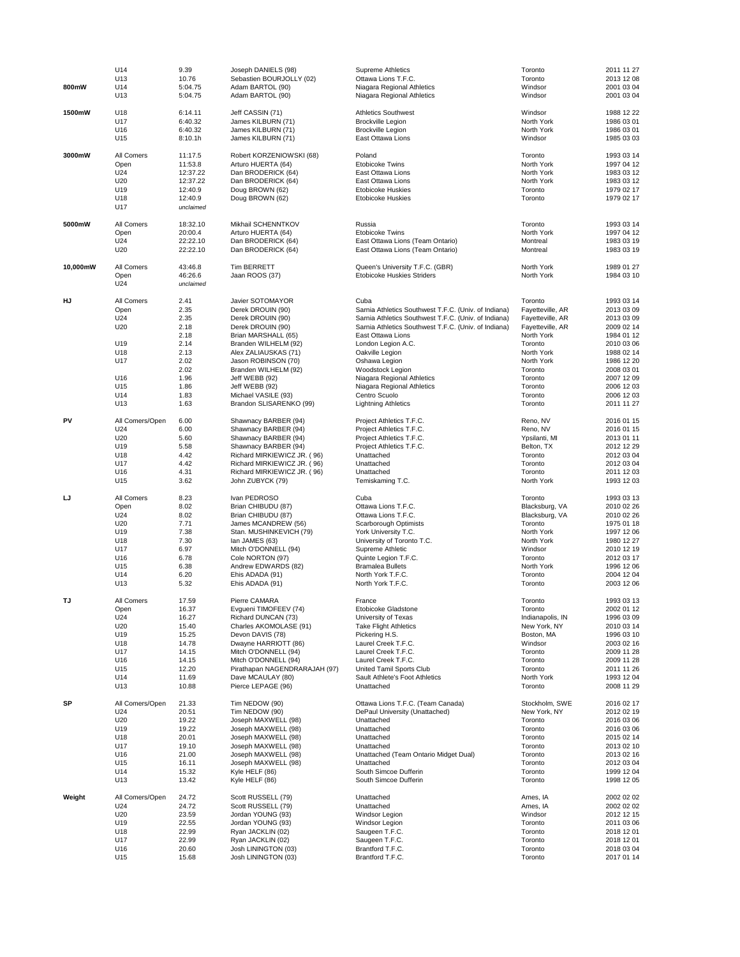| 800mW    | U14                                                                               | 9.39                                                                                                 | Joseph DANIELS (98)                                                                                                                                                                                                                                                                                | Supreme Athletics                                                                                                                                                                                                                                                                                                                                                                          | Toronto                                                                                                                                                                         | 2011 11 27                                                                                                                                                                         |
|----------|-----------------------------------------------------------------------------------|------------------------------------------------------------------------------------------------------|----------------------------------------------------------------------------------------------------------------------------------------------------------------------------------------------------------------------------------------------------------------------------------------------------|--------------------------------------------------------------------------------------------------------------------------------------------------------------------------------------------------------------------------------------------------------------------------------------------------------------------------------------------------------------------------------------------|---------------------------------------------------------------------------------------------------------------------------------------------------------------------------------|------------------------------------------------------------------------------------------------------------------------------------------------------------------------------------|
|          | U13                                                                               | 10.76                                                                                                | Sebastien BOURJOLLY (02)                                                                                                                                                                                                                                                                           | Ottawa Lions T.F.C.                                                                                                                                                                                                                                                                                                                                                                        | Toronto                                                                                                                                                                         | 2013 12 08                                                                                                                                                                         |
|          | U14                                                                               | 5:04.75                                                                                              | Adam BARTOL (90)                                                                                                                                                                                                                                                                                   | Niagara Regional Athletics                                                                                                                                                                                                                                                                                                                                                                 | Windsor                                                                                                                                                                         | 2001 03 04                                                                                                                                                                         |
|          | U13                                                                               | 5:04.75                                                                                              | Adam BARTOL (90)                                                                                                                                                                                                                                                                                   | Niagara Regional Athletics                                                                                                                                                                                                                                                                                                                                                                 | Windsor                                                                                                                                                                         | 2001 03 04                                                                                                                                                                         |
| 1500mW   | U18                                                                               | 6:14.11                                                                                              | Jeff CASSIN (71)                                                                                                                                                                                                                                                                                   | <b>Athletics Southwest</b>                                                                                                                                                                                                                                                                                                                                                                 | Windsor                                                                                                                                                                         | 1988 12 22                                                                                                                                                                         |
|          | U17                                                                               | 6:40.32                                                                                              | James KILBURN (71)                                                                                                                                                                                                                                                                                 | <b>Brockville Legion</b>                                                                                                                                                                                                                                                                                                                                                                   | North York                                                                                                                                                                      | 1986 03 01                                                                                                                                                                         |
|          | U16                                                                               | 6:40.32                                                                                              | James KILBURN (71)                                                                                                                                                                                                                                                                                 | <b>Brockville Legion</b>                                                                                                                                                                                                                                                                                                                                                                   | North York                                                                                                                                                                      | 1986 03 01                                                                                                                                                                         |
|          | U15                                                                               | 8:10.1h                                                                                              | James KILBURN (71)                                                                                                                                                                                                                                                                                 | East Ottawa Lions                                                                                                                                                                                                                                                                                                                                                                          | Windsor                                                                                                                                                                         | 1985 03 03                                                                                                                                                                         |
| 3000mW   | All Comers<br>Open<br>U24<br>U20<br>U19<br>U18<br>U17                             | 11:17.5<br>11:53.8<br>12:37.22<br>12:37.22<br>12:40.9<br>12:40.9<br>unclaimed                        | Robert KORZENIOWSKI (68)<br>Arturo HUERTA (64)<br>Dan BRODERICK (64)<br>Dan BRODERICK (64)<br>Doug BROWN (62)<br>Doug BROWN (62)                                                                                                                                                                   | Poland<br><b>Etobicoke Twins</b><br>East Ottawa Lions<br>East Ottawa Lions<br><b>Etobicoke Huskies</b><br><b>Etobicoke Huskies</b>                                                                                                                                                                                                                                                         | Toronto<br>North York<br>North York<br>North York<br>Toronto<br>Toronto                                                                                                         | 1993 03 14<br>1997 04 12<br>1983 03 12<br>1983 03 12<br>1979 02 17<br>1979 02 17                                                                                                   |
| 5000mW   | All Comers                                                                        | 18:32.10                                                                                             | Mikhail SCHENNTKOV                                                                                                                                                                                                                                                                                 | Russia                                                                                                                                                                                                                                                                                                                                                                                     | Toronto                                                                                                                                                                         | 1993 03 14                                                                                                                                                                         |
|          | Open                                                                              | 20:00.4                                                                                              | Arturo HUERTA (64)                                                                                                                                                                                                                                                                                 | <b>Etobicoke Twins</b>                                                                                                                                                                                                                                                                                                                                                                     | North York                                                                                                                                                                      | 1997 04 12                                                                                                                                                                         |
|          | U24                                                                               | 22:22.10                                                                                             | Dan BRODERICK (64)                                                                                                                                                                                                                                                                                 | East Ottawa Lions (Team Ontario)                                                                                                                                                                                                                                                                                                                                                           | Montreal                                                                                                                                                                        | 1983 03 19                                                                                                                                                                         |
|          | U20                                                                               | 22:22.10                                                                                             | Dan BRODERICK (64)                                                                                                                                                                                                                                                                                 | East Ottawa Lions (Team Ontario)                                                                                                                                                                                                                                                                                                                                                           | Montreal                                                                                                                                                                        | 1983 03 19                                                                                                                                                                         |
| 10,000mW | All Comers<br>Open<br>U <sub>24</sub>                                             | 43:46.8<br>46:26.6<br>unclaimed                                                                      | Tim BERRETT<br>Jaan ROOS (37)                                                                                                                                                                                                                                                                      | Queen's University T.F.C. (GBR)<br><b>Etobicoke Huskies Striders</b>                                                                                                                                                                                                                                                                                                                       | North York<br>North York                                                                                                                                                        | 1989 01 27<br>1984 03 10                                                                                                                                                           |
| HJ       | All Comers<br>Open<br>U24<br>U20<br>U19<br>U18<br>U17<br>U16<br>U15<br>U14<br>U13 | 2.41<br>2.35<br>2.35<br>2.18<br>2.18<br>2.14<br>2.13<br>2.02<br>2.02<br>1.96<br>1.86<br>1.83<br>1.63 | <b>Javier SOTOMAYOR</b><br>Derek DROUIN (90)<br>Derek DROUIN (90)<br>Derek DROUIN (90)<br>Brian MARSHALL (65)<br>Branden WILHELM (92)<br>Alex ZALIAUSKAS (71)<br>Jason ROBINSON (70)<br>Branden WILHELM (92)<br>Jeff WEBB (92)<br>Jeff WEBB (92)<br>Michael VASILE (93)<br>Brandon SLISARENKO (99) | Cuba<br>Sarnia Athletics Southwest T.F.C. (Univ. of Indiana)<br>Sarnia Athletics Southwest T.F.C. (Univ. of Indiana)<br>Sarnia Athletics Southwest T.F.C. (Univ. of Indiana)<br>East Ottawa Lions<br>London Legion A.C.<br>Oakville Legion<br>Oshawa Legion<br>Woodstock Legion<br>Niagara Regional Athletics<br>Niagara Regional Athletics<br>Centro Scuolo<br><b>Lightning Athletics</b> | Toronto<br>Fayetteville, AR<br>Fayetteville, AR<br>Fayetteville, AR<br>North York<br>Toronto<br>North York<br>North York<br>Toronto<br>Toronto<br>Toronto<br>Toronto<br>Toronto | 1993 03 14<br>2013 03 09<br>2013 03 09<br>2009 02 14<br>1984 01 12<br>2010 03 06<br>1988 02 14<br>1986 12 20<br>2008 03 01<br>2007 12 09<br>2006 12 03<br>2006 12 03<br>2011 11 27 |
| PV       | All Comers/Open                                                                   | 6.00                                                                                                 | Shawnacy BARBER (94)                                                                                                                                                                                                                                                                               | Project Athletics T.F.C.                                                                                                                                                                                                                                                                                                                                                                   | Reno, NV                                                                                                                                                                        | 2016 01 15                                                                                                                                                                         |
|          | U24                                                                               | 6.00                                                                                                 | Shawnacy BARBER (94)                                                                                                                                                                                                                                                                               | Project Athletics T.F.C.                                                                                                                                                                                                                                                                                                                                                                   | Reno, NV                                                                                                                                                                        | 2016 01 15                                                                                                                                                                         |
|          | U20                                                                               | 5.60                                                                                                 | Shawnacy BARBER (94)                                                                                                                                                                                                                                                                               | Project Athletics T.F.C.                                                                                                                                                                                                                                                                                                                                                                   | Ypsilanti, MI                                                                                                                                                                   | 2013 01 11                                                                                                                                                                         |
|          | U19                                                                               | 5.58                                                                                                 | Shawnacy BARBER (94)                                                                                                                                                                                                                                                                               | Project Athletics T.F.C.                                                                                                                                                                                                                                                                                                                                                                   | Belton, TX                                                                                                                                                                      | 2012 12 29                                                                                                                                                                         |
|          | U18                                                                               | 4.42                                                                                                 | Richard MIRKIEWICZ JR. (96)                                                                                                                                                                                                                                                                        | Unattached                                                                                                                                                                                                                                                                                                                                                                                 | Toronto                                                                                                                                                                         | 2012 03 04                                                                                                                                                                         |
|          | U17                                                                               | 4.42                                                                                                 | Richard MIRKIEWICZ JR. (96)                                                                                                                                                                                                                                                                        | Unattached                                                                                                                                                                                                                                                                                                                                                                                 | Toronto                                                                                                                                                                         | 2012 03 04                                                                                                                                                                         |
|          | U16                                                                               | 4.31                                                                                                 | Richard MIRKIEWICZ JR. (96)                                                                                                                                                                                                                                                                        | Unattached                                                                                                                                                                                                                                                                                                                                                                                 | Toronto                                                                                                                                                                         | 2011 12 03                                                                                                                                                                         |
|          | U15                                                                               | 3.62                                                                                                 | John ZUBYCK (79)                                                                                                                                                                                                                                                                                   | Temiskaming T.C.                                                                                                                                                                                                                                                                                                                                                                           | North York                                                                                                                                                                      | 1993 12 03                                                                                                                                                                         |
| IJ       | All Comers                                                                        | 8.23                                                                                                 | Ivan PEDROSO                                                                                                                                                                                                                                                                                       | Cuba                                                                                                                                                                                                                                                                                                                                                                                       | Toronto                                                                                                                                                                         | 1993 03 13                                                                                                                                                                         |
|          | Open                                                                              | 8.02                                                                                                 | Brian CHIBUDU (87)                                                                                                                                                                                                                                                                                 | Ottawa Lions T.F.C.                                                                                                                                                                                                                                                                                                                                                                        | Blacksburg, VA                                                                                                                                                                  | 2010 02 26                                                                                                                                                                         |
|          | U24                                                                               | 8.02                                                                                                 | Brian CHIBUDU (87)                                                                                                                                                                                                                                                                                 | Ottawa Lions T.F.C.                                                                                                                                                                                                                                                                                                                                                                        | Blacksburg, VA                                                                                                                                                                  | 2010 02 26                                                                                                                                                                         |
|          | U20                                                                               | 7.71                                                                                                 | James MCANDREW (56)                                                                                                                                                                                                                                                                                | Scarborough Optimists                                                                                                                                                                                                                                                                                                                                                                      | Toronto                                                                                                                                                                         | 1975 01 18                                                                                                                                                                         |
|          | U19                                                                               | 7.38                                                                                                 | Stan. MUSHINKEVICH (79)                                                                                                                                                                                                                                                                            | York University T.C.                                                                                                                                                                                                                                                                                                                                                                       | North York                                                                                                                                                                      | 1997 12 06                                                                                                                                                                         |
|          | U18                                                                               | 7.30                                                                                                 | lan JAMES (63)                                                                                                                                                                                                                                                                                     | University of Toronto T.C.                                                                                                                                                                                                                                                                                                                                                                 | North York                                                                                                                                                                      | 1980 12 27                                                                                                                                                                         |
|          | U17                                                                               | 6.97                                                                                                 | Mitch O'DONNELL (94)                                                                                                                                                                                                                                                                               | Supreme Athletic                                                                                                                                                                                                                                                                                                                                                                           | Windsor                                                                                                                                                                         | 2010 12 19                                                                                                                                                                         |
|          | U16                                                                               | 6.78                                                                                                 | Cole NORTON (97)                                                                                                                                                                                                                                                                                   | Quinte Legion T.F.C.                                                                                                                                                                                                                                                                                                                                                                       | Toronto                                                                                                                                                                         | 2012 03 17                                                                                                                                                                         |
|          | U15                                                                               | 6.38                                                                                                 | Andrew EDWARDS (82)                                                                                                                                                                                                                                                                                | <b>Bramalea Bullets</b>                                                                                                                                                                                                                                                                                                                                                                    | North York                                                                                                                                                                      | 1996 12 06                                                                                                                                                                         |
|          | U14                                                                               | 6.20                                                                                                 | Ehis ADADA (91)                                                                                                                                                                                                                                                                                    | North York T.F.C.                                                                                                                                                                                                                                                                                                                                                                          | Toronto                                                                                                                                                                         | 2004 12 04                                                                                                                                                                         |
|          | U13                                                                               | 5.32                                                                                                 | Ehis ADADA (91)                                                                                                                                                                                                                                                                                    | North York T.F.C.                                                                                                                                                                                                                                                                                                                                                                          | Toronto                                                                                                                                                                         | 2003 12 06                                                                                                                                                                         |
| TJ       | All Comers                                                                        | 17.59                                                                                                | Pierre CAMARA                                                                                                                                                                                                                                                                                      | France                                                                                                                                                                                                                                                                                                                                                                                     | Toronto                                                                                                                                                                         | 1993 03 13                                                                                                                                                                         |
|          | Open                                                                              | 16.37                                                                                                | Evgueni TIMOFEEV (74)                                                                                                                                                                                                                                                                              | Etobicoke Gladstone                                                                                                                                                                                                                                                                                                                                                                        | Toronto                                                                                                                                                                         | 2002 01 12                                                                                                                                                                         |
|          | U24                                                                               | 16.27                                                                                                | Richard DUNCAN (73)                                                                                                                                                                                                                                                                                | University of Texas                                                                                                                                                                                                                                                                                                                                                                        | Indianapolis, IN                                                                                                                                                                | 1996 03 09                                                                                                                                                                         |
|          | U20                                                                               | 15.40                                                                                                | Charles AKOMOLASE (91)                                                                                                                                                                                                                                                                             | <b>Take Flight Athletics</b>                                                                                                                                                                                                                                                                                                                                                               | New York, NY                                                                                                                                                                    | 2010 03 14                                                                                                                                                                         |
|          | U19                                                                               | 15.25                                                                                                | Devon DAVIS (78)                                                                                                                                                                                                                                                                                   | Pickering H.S.                                                                                                                                                                                                                                                                                                                                                                             | Boston, MA                                                                                                                                                                      | 1996 03 10                                                                                                                                                                         |
|          | U18                                                                               | 14.78                                                                                                | Dwayne HARRIOTT (86)                                                                                                                                                                                                                                                                               | Laurel Creek T.F.C.                                                                                                                                                                                                                                                                                                                                                                        | Windsor                                                                                                                                                                         | 2003 02 16                                                                                                                                                                         |
|          | U17                                                                               | 14.15                                                                                                | Mitch O'DONNELL (94)                                                                                                                                                                                                                                                                               | Laurel Creek T.F.C.                                                                                                                                                                                                                                                                                                                                                                        | Toronto                                                                                                                                                                         | 2009 11 28                                                                                                                                                                         |
|          | U16                                                                               | 14.15                                                                                                | Mitch O'DONNELL (94)                                                                                                                                                                                                                                                                               | Laurel Creek T.F.C.                                                                                                                                                                                                                                                                                                                                                                        | Toronto                                                                                                                                                                         | 2009 11 28                                                                                                                                                                         |
|          | U15                                                                               | 12.20                                                                                                | Pirathapan NAGENDRARAJAH (97)                                                                                                                                                                                                                                                                      | United Tamil Sports Club                                                                                                                                                                                                                                                                                                                                                                   | Toronto                                                                                                                                                                         | 2011 11 26                                                                                                                                                                         |
|          | U14                                                                               | 11.69                                                                                                | Dave MCAULAY (80)                                                                                                                                                                                                                                                                                  | Sault Athlete's Foot Athletics                                                                                                                                                                                                                                                                                                                                                             | North York                                                                                                                                                                      | 1993 12 04                                                                                                                                                                         |
|          | U13                                                                               | 10.88                                                                                                | Pierce LEPAGE (96)                                                                                                                                                                                                                                                                                 | Unattached                                                                                                                                                                                                                                                                                                                                                                                 | Toronto                                                                                                                                                                         | 2008 11 29                                                                                                                                                                         |
| SP       | All Comers/Open                                                                   | 21.33                                                                                                | Tim NEDOW (90)                                                                                                                                                                                                                                                                                     | Ottawa Lions T.F.C. (Team Canada)                                                                                                                                                                                                                                                                                                                                                          | Stockholm, SWE                                                                                                                                                                  | 2016 02 17                                                                                                                                                                         |
|          | U24                                                                               | 20.51                                                                                                | Tim NEDOW (90)                                                                                                                                                                                                                                                                                     | DePaul University (Unattached)                                                                                                                                                                                                                                                                                                                                                             | New York, NY                                                                                                                                                                    | 2012 02 19                                                                                                                                                                         |
|          | U20                                                                               | 19.22                                                                                                | Joseph MAXWELL (98)                                                                                                                                                                                                                                                                                | Unattached                                                                                                                                                                                                                                                                                                                                                                                 | Toronto                                                                                                                                                                         | 2016 03 06                                                                                                                                                                         |
|          | U19                                                                               | 19.22                                                                                                | Joseph MAXWELL (98)                                                                                                                                                                                                                                                                                | Unattached                                                                                                                                                                                                                                                                                                                                                                                 | Toronto                                                                                                                                                                         | 2016 03 06                                                                                                                                                                         |
|          | U18                                                                               | 20.01                                                                                                | Joseph MAXWELL (98)                                                                                                                                                                                                                                                                                | Unattached                                                                                                                                                                                                                                                                                                                                                                                 | Toronto                                                                                                                                                                         | 2015 02 14                                                                                                                                                                         |
|          | U17                                                                               | 19.10                                                                                                | Joseph MAXWELL (98)                                                                                                                                                                                                                                                                                | Unattached                                                                                                                                                                                                                                                                                                                                                                                 | Toronto                                                                                                                                                                         | 2013 02 10                                                                                                                                                                         |
|          | U16                                                                               | 21.00                                                                                                | Joseph MAXWELL (98)                                                                                                                                                                                                                                                                                | Unattached (Team Ontario Midget Dual)                                                                                                                                                                                                                                                                                                                                                      | Toronto                                                                                                                                                                         | 2013 02 16                                                                                                                                                                         |
|          | U15                                                                               | 16.11                                                                                                | Joseph MAXWELL (98)                                                                                                                                                                                                                                                                                | Unattached                                                                                                                                                                                                                                                                                                                                                                                 | Toronto                                                                                                                                                                         | 2012 03 04                                                                                                                                                                         |
|          | U14                                                                               | 15.32                                                                                                | Kyle HELF (86)                                                                                                                                                                                                                                                                                     | South Simcoe Dufferin                                                                                                                                                                                                                                                                                                                                                                      | Toronto                                                                                                                                                                         | 1999 12 04                                                                                                                                                                         |
|          | U13                                                                               | 13.42                                                                                                | Kyle HELF (86)                                                                                                                                                                                                                                                                                     | South Simcoe Dufferin                                                                                                                                                                                                                                                                                                                                                                      | Toronto                                                                                                                                                                         | 1998 12 05                                                                                                                                                                         |
| Weight   | All Comers/Open                                                                   | 24.72                                                                                                | Scott RUSSELL (79)                                                                                                                                                                                                                                                                                 | Unattached                                                                                                                                                                                                                                                                                                                                                                                 | Ames, IA                                                                                                                                                                        | 2002 02 02                                                                                                                                                                         |
|          | U24                                                                               | 24.72                                                                                                | Scott RUSSELL (79)                                                                                                                                                                                                                                                                                 | Unattached                                                                                                                                                                                                                                                                                                                                                                                 | Ames, IA                                                                                                                                                                        | 2002 02 02                                                                                                                                                                         |
|          | U20                                                                               | 23.59                                                                                                | Jordan YOUNG (93)                                                                                                                                                                                                                                                                                  | Windsor Legion                                                                                                                                                                                                                                                                                                                                                                             | Windsor                                                                                                                                                                         | 2012 12 15                                                                                                                                                                         |
|          | U19                                                                               | 22.55                                                                                                | Jordan YOUNG (93)                                                                                                                                                                                                                                                                                  | Windsor Legion                                                                                                                                                                                                                                                                                                                                                                             | Toronto                                                                                                                                                                         | 2011 03 06                                                                                                                                                                         |
|          | U18                                                                               | 22.99                                                                                                | Ryan JACKLIN (02)                                                                                                                                                                                                                                                                                  | Saugeen T.F.C.                                                                                                                                                                                                                                                                                                                                                                             | Toronto                                                                                                                                                                         | 2018 12 01                                                                                                                                                                         |
|          | U17                                                                               | 22.99                                                                                                | Ryan JACKLIN (02)                                                                                                                                                                                                                                                                                  | Saugeen T.F.C.                                                                                                                                                                                                                                                                                                                                                                             | Toronto                                                                                                                                                                         | 2018 12 01                                                                                                                                                                         |
|          | U16                                                                               | 20.60                                                                                                | Josh LININGTON (03)                                                                                                                                                                                                                                                                                | Brantford T.F.C.                                                                                                                                                                                                                                                                                                                                                                           | Toronto                                                                                                                                                                         | 2018 03 04                                                                                                                                                                         |
|          | U15                                                                               | 15.68                                                                                                | Josh LININGTON (03)                                                                                                                                                                                                                                                                                | Brantford T.F.C.                                                                                                                                                                                                                                                                                                                                                                           | Toronto                                                                                                                                                                         | 2017 01 14                                                                                                                                                                         |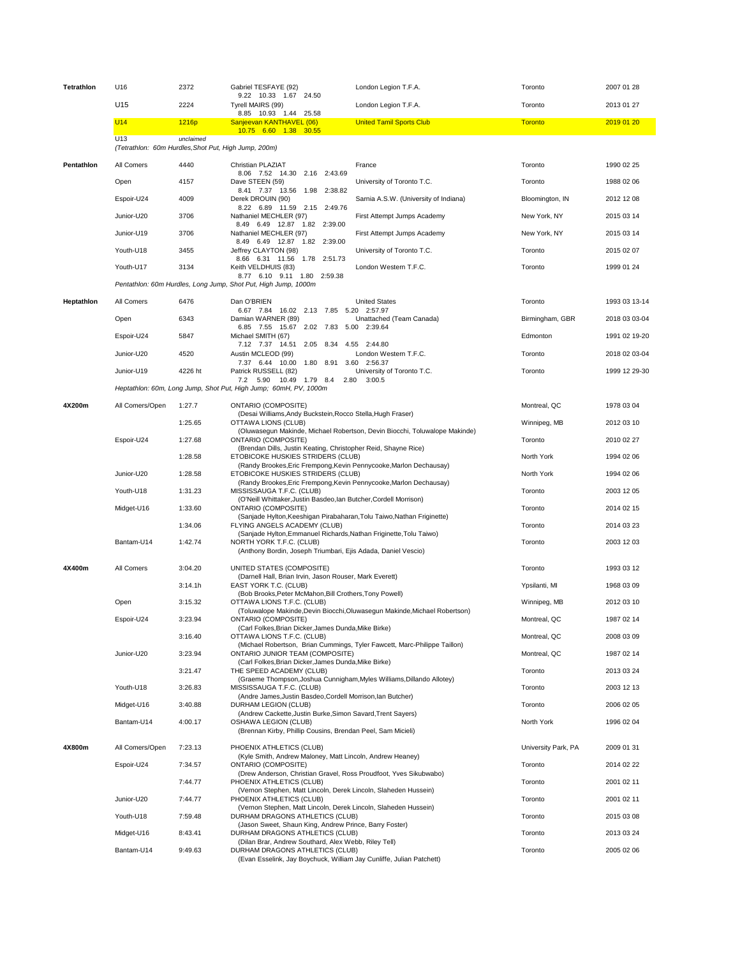| Tetrathlon | U16                                                         | 2372      | Gabriel TESFAYE (92)<br>9.22 10.33 1.67 24.50                                                           | London Legion T.F.A.                                                       | Toronto             | 2007 01 28    |
|------------|-------------------------------------------------------------|-----------|---------------------------------------------------------------------------------------------------------|----------------------------------------------------------------------------|---------------------|---------------|
|            | U15                                                         | 2224      | Tyrell MAIRS (99)<br>8.85 10.93 1.44 25.58                                                              | London Legion T.F.A.                                                       | Toronto             | 2013 01 27    |
|            | U14                                                         | 1216p     | Sanjeevan KANTHAVEL (06)<br>10.75 6.60 1.38 30.55                                                       | <b>United Tamil Sports Club</b>                                            | <b>Toronto</b>      | 2019 01 20    |
|            | U13<br>(Tetrathlon: 60m Hurdles, Shot Put, High Jump, 200m) | unclaimed |                                                                                                         |                                                                            |                     |               |
| Pentathlon | All Comers                                                  | 4440      | Christian PLAZIAT                                                                                       | France                                                                     | Toronto             | 1990 02 25    |
|            | Open                                                        | 4157      | 8.06 7.52 14.30 2.16 2:43.69<br>Dave STEEN (59)                                                         | University of Toronto T.C.                                                 | Toronto             | 1988 02 06    |
|            | Espoir-U24                                                  | 4009      | 8.41 7.37 13.56 1.98 2:38.82<br>Derek DROUIN (90)                                                       | Sarnia A.S.W. (University of Indiana)                                      | Bloomington, IN     | 2012 12 08    |
|            | Junior-U20                                                  | 3706      | 8.22 6.89 11.59 2.15 2:49.76<br>Nathaniel MECHLER (97)                                                  | First Attempt Jumps Academy                                                | New York, NY        | 2015 03 14    |
|            | Junior-U19                                                  | 3706      | 8.49 6.49 12.87 1.82 2:39.00<br>Nathaniel MECHLER (97)                                                  | First Attempt Jumps Academy                                                | New York, NY        | 2015 03 14    |
|            | Youth-U18                                                   | 3455      | 8.49 6.49 12.87 1.82 2:39.00<br>Jeffrey CLAYTON (98)                                                    | University of Toronto T.C.                                                 | Toronto             | 2015 02 07    |
|            | Youth-U17                                                   | 3134      | 8.66 6.31 11.56 1.78 2:51.73<br>Keith VELDHUIS (83)                                                     | London Western T.F.C.                                                      | Toronto             | 1999 01 24    |
|            |                                                             |           | 8.77 6.10 9.11 1.80 2:59.38<br>Pentathlon: 60m Hurdles, Long Jump, Shot Put, High Jump, 1000m           |                                                                            |                     |               |
| Heptathlon | All Comers                                                  | 6476      | Dan O'BRIEN                                                                                             | <b>United States</b>                                                       | Toronto             | 1993 03 13-14 |
|            | Open                                                        | 6343      | 6.67 7.84 16.02 2.13 7.85 5.20 2:57.97<br>Damian WARNER (89)                                            | Unattached (Team Canada)                                                   | Birmingham, GBR     | 2018 03 03-04 |
|            | Espoir-U24                                                  | 5847      | 6.85 7.55 15.67 2.02 7.83 5.00 2:39.64<br>Michael SMITH (67)                                            |                                                                            | Edmonton            | 1991 02 19-20 |
|            | Junior-U20                                                  | 4520      | 7.12 7.37 14.51 2.05 8.34 4.55 2:44.80<br>Austin MCLEOD (99)                                            | London Western T.F.C.                                                      | Toronto             | 2018 02 03-04 |
|            | Junior-U19                                                  | 4226 ht   | 7.37 6.44 10.00 1.80 8.91 3.60 2:56.37<br>Patrick RUSSELL (82)                                          | University of Toronto T.C.                                                 | Toronto             | 1999 12 29-30 |
|            |                                                             |           | 7.2 5.90 10.49 1.79 8.4 2.80<br>Heptathlon: 60m, Long Jump, Shot Put, High Jump; 60mH, PV, 1000m        | 3:00.5                                                                     |                     |               |
| 4X200m     | All Comers/Open                                             | 1:27.7    | <b>ONTARIO (COMPOSITE)</b>                                                                              |                                                                            | Montreal, QC        | 1978 03 04    |
|            |                                                             | 1:25.65   | (Desai Williams, Andy Buckstein, Rocco Stella, Hugh Fraser)<br>OTTAWA LIONS (CLUB)                      |                                                                            | Winnipeg, MB        | 2012 03 10    |
|            | Espoir-U24                                                  | 1:27.68   | <b>ONTARIO (COMPOSITE)</b>                                                                              | (Oluwasegun Makinde, Michael Robertson, Devin Biocchi, Toluwalope Makinde) | Toronto             | 2010 02 27    |
|            |                                                             | 1:28.58   | (Brendan Dills, Justin Keating, Christopher Reid, Shayne Rice)<br>ETOBICOKE HUSKIES STRIDERS (CLUB)     |                                                                            | North York          | 1994 02 06    |
|            | Junior-U20                                                  | 1:28.58   | (Randy Brookes, Eric Frempong, Kevin Pennycooke, Marlon Dechausay)<br>ETOBICOKE HUSKIES STRIDERS (CLUB) |                                                                            | North York          | 1994 02 06    |
|            | Youth-U18                                                   | 1:31.23   | (Randy Brookes, Eric Frempong, Kevin Pennycooke, Marlon Dechausay)<br>MISSISSAUGA T.F.C. (CLUB)         |                                                                            | Toronto             | 2003 12 05    |
|            | Midget-U16                                                  | 1:33.60   | (O'Neill Whittaker, Justin Basdeo, lan Butcher, Cordell Morrison)<br><b>ONTARIO (COMPOSITE)</b>         |                                                                            | Toronto             | 2014 02 15    |
|            |                                                             | 1:34.06   | (Sanjade Hylton, Keeshigan Pirabaharan, Tolu Taiwo, Nathan Friginette)<br>FLYING ANGELS ACADEMY (CLUB)  |                                                                            | Toronto             | 2014 03 23    |
|            | Bantam-U14                                                  | 1:42.74   | (Sanjade Hylton, Emmanuel Richards, Nathan Friginette, Tolu Taiwo)<br>NORTH YORK T.F.C. (CLUB)          |                                                                            | Toronto             | 2003 12 03    |
|            |                                                             |           | (Anthony Bordin, Joseph Triumbari, Ejis Adada, Daniel Vescio)                                           |                                                                            |                     |               |
| 4X400m     | All Comers                                                  | 3:04.20   | UNITED STATES (COMPOSITE)<br>(Darnell Hall, Brian Irvin, Jason Rouser, Mark Everett)                    |                                                                            | Toronto             | 1993 03 12    |
|            |                                                             | 3:14.1h   | EAST YORK T.C. (CLUB)<br>(Bob Brooks, Peter McMahon, Bill Crothers, Tony Powell)                        |                                                                            | Ypsilanti, MI       | 1968 03 09    |
|            | Open                                                        | 3:15.32   | OTTAWA LIONS T.F.C. (CLUB)                                                                              | (Toluwalope Makinde, Devin Biocchi, Oluwasegun Makinde, Michael Robertson) | Winnipeg, MB        | 2012 03 10    |
|            | Espoir-U24                                                  | 3:23.94   | <b>ONTARIO (COMPOSITE)</b><br>(Carl Folkes, Brian Dicker, James Dunda, Mike Birke)                      |                                                                            | Montreal, QC        | 1987 02 14    |
|            |                                                             | 3:16.40   | OTTAWA LIONS T.F.C. (CLUB)                                                                              |                                                                            | Montreal, QC        | 2008 03 09    |
|            | Junior-U20                                                  | 3:23.94   | ONTARIO JUNIOR TEAM (COMPOSITE)                                                                         | (Michael Robertson, Brian Cummings, Tyler Fawcett, Marc-Philippe Taillon)  | Montreal, QC        | 1987 02 14    |
|            |                                                             | 3:21.47   | (Carl Folkes, Brian Dicker, James Dunda, Mike Birke)<br>THE SPEED ACADEMY (CLUB)                        |                                                                            | Toronto             | 2013 03 24    |
|            | Youth-U18                                                   | 3:26.83   | (Graeme Thompson, Joshua Cunnigham, Myles Williams, Dillando Allotey)<br>MISSISSAUGA T.F.C. (CLUB)      |                                                                            | Toronto             | 2003 12 13    |
|            | Midget-U16                                                  | 3:40.88   | (Andre James, Justin Basdeo, Cordell Morrison, lan Butcher)<br>DURHAM LEGION (CLUB)                     |                                                                            | Toronto             | 2006 02 05    |
|            | Bantam-U14                                                  | 4:00.17   | (Andrew Cackette, Justin Burke, Simon Savard, Trent Sayers)<br>OSHAWA LEGION (CLUB)                     |                                                                            | North York          | 1996 02 04    |
|            |                                                             |           | (Brennan Kirby, Phillip Cousins, Brendan Peel, Sam Micieli)                                             |                                                                            |                     |               |
| 4X800m     | All Comers/Open                                             | 7:23.13   | PHOENIX ATHLETICS (CLUB)<br>(Kyle Smith, Andrew Maloney, Matt Lincoln, Andrew Heaney)                   |                                                                            | University Park, PA | 2009 01 31    |
|            | Espoir-U24                                                  | 7:34.57   | <b>ONTARIO (COMPOSITE)</b><br>(Drew Anderson, Christian Gravel, Ross Proudfoot, Yves Sikubwabo)         |                                                                            | Toronto             | 2014 02 22    |
|            |                                                             | 7:44.77   | PHOENIX ATHLETICS (CLUB)<br>(Vernon Stephen, Matt Lincoln, Derek Lincoln, Slaheden Hussein)             |                                                                            | Toronto             | 2001 02 11    |
|            | Junior-U20                                                  | 7:44.77   | PHOENIX ATHLETICS (CLUB)<br>(Vernon Stephen, Matt Lincoln, Derek Lincoln, Slaheden Hussein)             |                                                                            | Toronto             | 2001 02 11    |
|            | Youth-U18                                                   | 7:59.48   | DURHAM DRAGONS ATHLETICS (CLUB)<br>(Jason Sweet, Shaun King, Andrew Prince, Barry Foster)               |                                                                            | Toronto             | 2015 03 08    |
|            | Midget-U16                                                  | 8:43.41   | DURHAM DRAGONS ATHLETICS (CLUB)<br>(Dilan Brar, Andrew Southard, Alex Webb, Riley Tell)                 |                                                                            | Toronto             | 2013 03 24    |
|            | Bantam-U14                                                  | 9:49.63   | DURHAM DRAGONS ATHLETICS (CLUB)<br>(Evan Esselink, Jay Boychuck, William Jay Cunliffe, Julian Patchett) |                                                                            | Toronto             | 2005 02 06    |